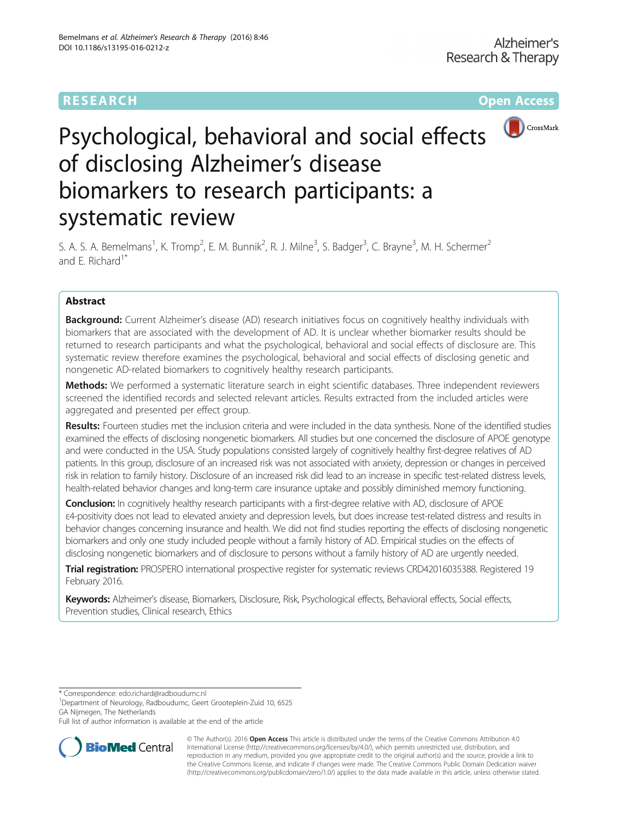# **RESEARCH CHEAR CHEAR CHEAR CHEAR CHEAR CHEAR CHEAR CHEAR CHEAR CHEAR CHEAR CHEAR CHEAR CHEAR CHEAR CHEAR CHEAR**



# Psychological, behavioral and social effects of disclosing Alzheimer's disease biomarkers to research participants: a systematic review

S. A. S. A. Bemelmans<sup>1</sup>, K. Tromp<sup>2</sup>, E. M. Bunnik<sup>2</sup>, R. J. Milne<sup>3</sup>, S. Badger<sup>3</sup>, C. Brayne<sup>3</sup>, M. H. Schermer<sup>2</sup> and  $F$ . Richard<sup>1\*</sup>

# Abstract

**Background:** Current Alzheimer's disease (AD) research initiatives focus on cognitively healthy individuals with biomarkers that are associated with the development of AD. It is unclear whether biomarker results should be returned to research participants and what the psychological, behavioral and social effects of disclosure are. This systematic review therefore examines the psychological, behavioral and social effects of disclosing genetic and nongenetic AD-related biomarkers to cognitively healthy research participants.

Methods: We performed a systematic literature search in eight scientific databases. Three independent reviewers screened the identified records and selected relevant articles. Results extracted from the included articles were aggregated and presented per effect group.

Results: Fourteen studies met the inclusion criteria and were included in the data synthesis. None of the identified studies examined the effects of disclosing nongenetic biomarkers. All studies but one concerned the disclosure of APOE genotype and were conducted in the USA. Study populations consisted largely of cognitively healthy first-degree relatives of AD patients. In this group, disclosure of an increased risk was not associated with anxiety, depression or changes in perceived risk in relation to family history. Disclosure of an increased risk did lead to an increase in specific test-related distress levels, health-related behavior changes and long-term care insurance uptake and possibly diminished memory functioning.

Conclusion: In cognitively healthy research participants with a first-degree relative with AD, disclosure of APOE ε4-positivity does not lead to elevated anxiety and depression levels, but does increase test-related distress and results in behavior changes concerning insurance and health. We did not find studies reporting the effects of disclosing nongenetic biomarkers and only one study included people without a family history of AD. Empirical studies on the effects of disclosing nongenetic biomarkers and of disclosure to persons without a family history of AD are urgently needed.

Trial registration: PROSPERO international prospective register for systematic reviews [CRD42016035388.](http://www.crd.york.ac.uk/PROSPERO/display_record.asp?ID=CRD42016035388) Registered 19 February 2016.

Keywords: Alzheimer's disease, Biomarkers, Disclosure, Risk, Psychological effects, Behavioral effects, Social effects, Prevention studies, Clinical research, Ethics

\* Correspondence: [edo.richard@radboudumc.nl](mailto:edo.richard@radboudumc.nl) <sup>1</sup>

<sup>1</sup>Department of Neurology, Radboudumc, Geert Grooteplein-Zuid 10, 6525 GA Nijmegen, The Netherlands

Full list of author information is available at the end of the article



© The Author(s). 2016 Open Access This article is distributed under the terms of the Creative Commons Attribution 4.0 International License [\(http://creativecommons.org/licenses/by/4.0/](http://creativecommons.org/licenses/by/4.0/)), which permits unrestricted use, distribution, and reproduction in any medium, provided you give appropriate credit to the original author(s) and the source, provide a link to the Creative Commons license, and indicate if changes were made. The Creative Commons Public Domain Dedication waiver [\(http://creativecommons.org/publicdomain/zero/1.0/](http://creativecommons.org/publicdomain/zero/1.0/)) applies to the data made available in this article, unless otherwise stated.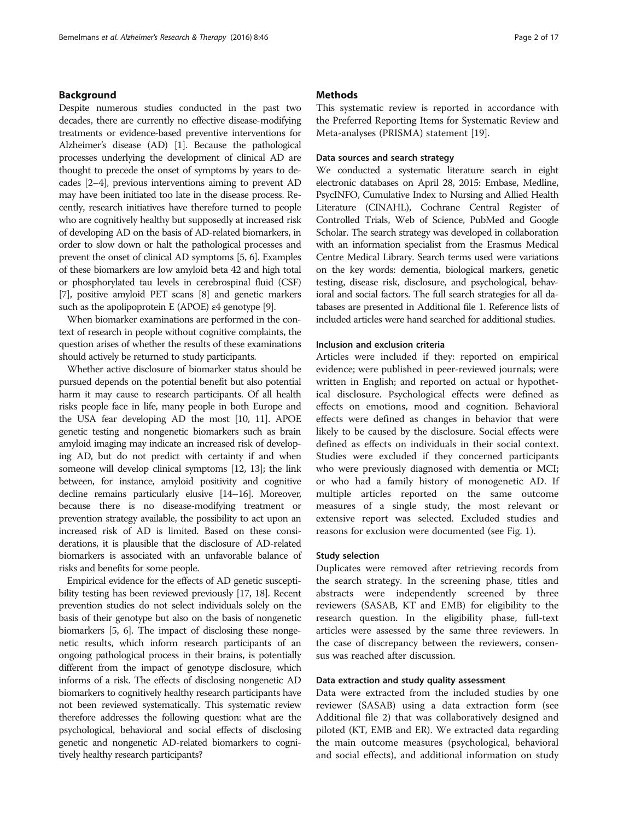# Background

Despite numerous studies conducted in the past two decades, there are currently no effective disease-modifying treatments or evidence-based preventive interventions for Alzheimer's disease (AD) [\[1\]](#page-15-0). Because the pathological processes underlying the development of clinical AD are thought to precede the onset of symptoms by years to decades [[2](#page-15-0)–[4\]](#page-15-0), previous interventions aiming to prevent AD may have been initiated too late in the disease process. Recently, research initiatives have therefore turned to people who are cognitively healthy but supposedly at increased risk of developing AD on the basis of AD-related biomarkers, in order to slow down or halt the pathological processes and prevent the onset of clinical AD symptoms [\[5, 6](#page-15-0)]. Examples of these biomarkers are low amyloid beta 42 and high total or phosphorylated tau levels in cerebrospinal fluid (CSF) [[7](#page-16-0)], positive amyloid PET scans [\[8](#page-16-0)] and genetic markers such as the apolipoprotein E (APOE) ε4 genotype [\[9\]](#page-16-0).

When biomarker examinations are performed in the context of research in people without cognitive complaints, the question arises of whether the results of these examinations should actively be returned to study participants.

Whether active disclosure of biomarker status should be pursued depends on the potential benefit but also potential harm it may cause to research participants. Of all health risks people face in life, many people in both Europe and the USA fear developing AD the most [\[10, 11](#page-16-0)]. APOE genetic testing and nongenetic biomarkers such as brain amyloid imaging may indicate an increased risk of developing AD, but do not predict with certainty if and when someone will develop clinical symptoms [[12](#page-16-0), [13\]](#page-16-0); the link between, for instance, amyloid positivity and cognitive decline remains particularly elusive [[14](#page-16-0)–[16](#page-16-0)]. Moreover, because there is no disease-modifying treatment or prevention strategy available, the possibility to act upon an increased risk of AD is limited. Based on these considerations, it is plausible that the disclosure of AD-related biomarkers is associated with an unfavorable balance of risks and benefits for some people.

Empirical evidence for the effects of AD genetic susceptibility testing has been reviewed previously [\[17](#page-16-0), [18](#page-16-0)]. Recent prevention studies do not select individuals solely on the basis of their genotype but also on the basis of nongenetic biomarkers [\[5, 6\]](#page-15-0). The impact of disclosing these nongenetic results, which inform research participants of an ongoing pathological process in their brains, is potentially different from the impact of genotype disclosure, which informs of a risk. The effects of disclosing nongenetic AD biomarkers to cognitively healthy research participants have not been reviewed systematically. This systematic review therefore addresses the following question: what are the psychological, behavioral and social effects of disclosing genetic and nongenetic AD-related biomarkers to cognitively healthy research participants?

# **Methods**

This systematic review is reported in accordance with the Preferred Reporting Items for Systematic Review and Meta-analyses (PRISMA) statement [\[19\]](#page-16-0).

# Data sources and search strategy

We conducted a systematic literature search in eight electronic databases on April 28, 2015: Embase, Medline, PsycINFO, Cumulative Index to Nursing and Allied Health Literature (CINAHL), Cochrane Central Register of Controlled Trials, Web of Science, PubMed and Google Scholar. The search strategy was developed in collaboration with an information specialist from the Erasmus Medical Centre Medical Library. Search terms used were variations on the key words: dementia, biological markers, genetic testing, disease risk, disclosure, and psychological, behavioral and social factors. The full search strategies for all databases are presented in Additional file [1](#page-15-0). Reference lists of included articles were hand searched for additional studies.

# Inclusion and exclusion criteria

Articles were included if they: reported on empirical evidence; were published in peer-reviewed journals; were written in English; and reported on actual or hypothetical disclosure. Psychological effects were defined as effects on emotions, mood and cognition. Behavioral effects were defined as changes in behavior that were likely to be caused by the disclosure. Social effects were defined as effects on individuals in their social context. Studies were excluded if they concerned participants who were previously diagnosed with dementia or MCI; or who had a family history of monogenetic AD. If multiple articles reported on the same outcome measures of a single study, the most relevant or extensive report was selected. Excluded studies and reasons for exclusion were documented (see Fig. [1](#page-2-0)).

#### Study selection

Duplicates were removed after retrieving records from the search strategy. In the screening phase, titles and abstracts were independently screened by three reviewers (SASAB, KT and EMB) for eligibility to the research question. In the eligibility phase, full-text articles were assessed by the same three reviewers. In the case of discrepancy between the reviewers, consensus was reached after discussion.

#### Data extraction and study quality assessment

Data were extracted from the included studies by one reviewer (SASAB) using a data extraction form (see Additional file [2\)](#page-15-0) that was collaboratively designed and piloted (KT, EMB and ER). We extracted data regarding the main outcome measures (psychological, behavioral and social effects), and additional information on study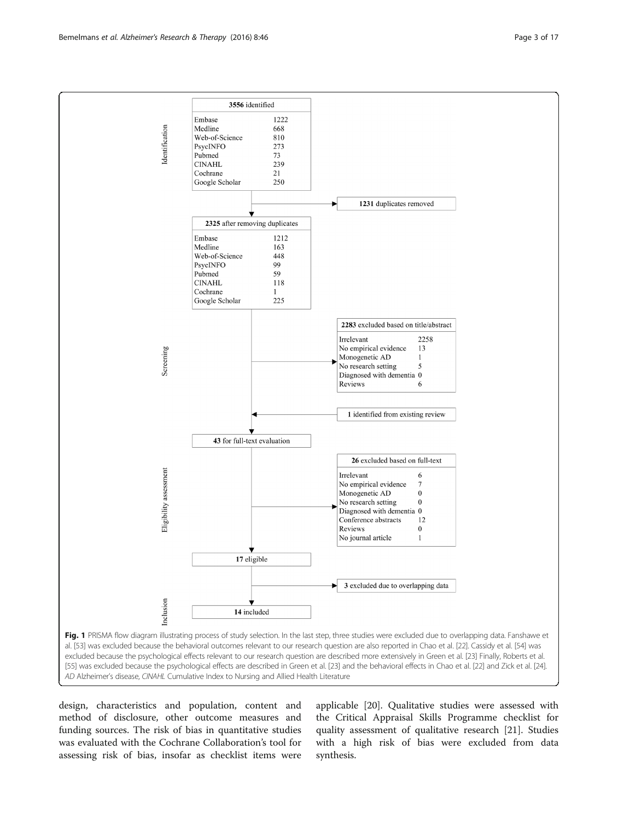<span id="page-2-0"></span>

design, characteristics and population, content and method of disclosure, other outcome measures and funding sources. The risk of bias in quantitative studies was evaluated with the Cochrane Collaboration's tool for assessing risk of bias, insofar as checklist items were

applicable [[20\]](#page-16-0). Qualitative studies were assessed with the Critical Appraisal Skills Programme checklist for quality assessment of qualitative research [\[21\]](#page-16-0). Studies with a high risk of bias were excluded from data synthesis.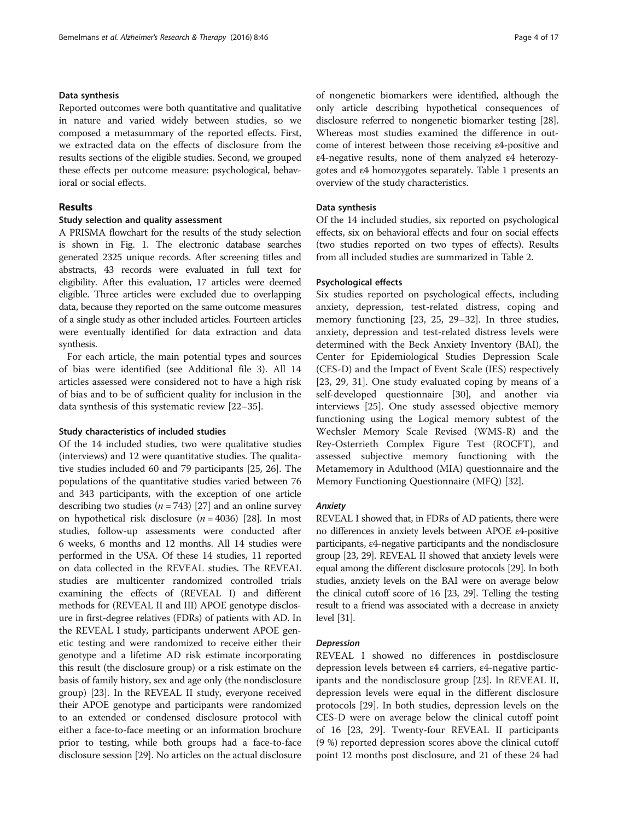# Data synthesis

Reported outcomes were both quantitative and qualitative in nature and varied widely between studies, so we composed a metasummary of the reported effects. First, we extracted data on the effects of disclosure from the results sections of the eligible studies. Second, we grouped these effects per outcome measure: psychological, behavioral or social effects.

# Results

# Study selection and quality assessment

A PRISMA flowchart for the results of the study selection is shown in Fig. [1](#page-2-0). The electronic database searches generated 2325 unique records. After screening titles and abstracts, 43 records were evaluated in full text for eligibility. After this evaluation, 17 articles were deemed eligible. Three articles were excluded due to overlapping data, because they reported on the same outcome measures of a single study as other included articles. Fourteen articles were eventually identified for data extraction and data synthesis.

For each article, the main potential types and sources of bias were identified (see Additional file [3\)](#page-15-0). All 14 articles assessed were considered not to have a high risk of bias and to be of sufficient quality for inclusion in the data synthesis of this systematic review [[22](#page-16-0)–[35](#page-16-0)].

#### Study characteristics of included studies

Of the 14 included studies, two were qualitative studies (interviews) and 12 were quantitative studies. The qualitative studies included 60 and 79 participants [\[25, 26\]](#page-16-0). The populations of the quantitative studies varied between 76 and 343 participants, with the exception of one article describing two studies ( $n = 743$ ) [[27](#page-16-0)] and an online survey on hypothetical risk disclosure  $(n = 4036)$  [[28](#page-16-0)]. In most studies, follow-up assessments were conducted after 6 weeks, 6 months and 12 months. All 14 studies were performed in the USA. Of these 14 studies, 11 reported on data collected in the REVEAL studies. The REVEAL studies are multicenter randomized controlled trials examining the effects of (REVEAL I) and different methods for (REVEAL II and III) APOE genotype disclosure in first-degree relatives (FDRs) of patients with AD. In the REVEAL I study, participants underwent APOE genetic testing and were randomized to receive either their genotype and a lifetime AD risk estimate incorporating this result (the disclosure group) or a risk estimate on the basis of family history, sex and age only (the nondisclosure group) [[23](#page-16-0)]. In the REVEAL II study, everyone received their APOE genotype and participants were randomized to an extended or condensed disclosure protocol with either a face-to-face meeting or an information brochure prior to testing, while both groups had a face-to-face disclosure session [\[29\]](#page-16-0). No articles on the actual disclosure of nongenetic biomarkers were identified, although the only article describing hypothetical consequences of disclosure referred to nongenetic biomarker testing [[28](#page-16-0)]. Whereas most studies examined the difference in outcome of interest between those receiving ε4-positive and ε4-negative results, none of them analyzed ε4 heterozygotes and ε4 homozygotes separately. Table [1](#page-4-0) presents an overview of the study characteristics.

# Data synthesis

Of the 14 included studies, six reported on psychological effects, six on behavioral effects and four on social effects (two studies reported on two types of effects). Results from all included studies are summarized in Table [2](#page-5-0).

# Psychological effects

Six studies reported on psychological effects, including anxiety, depression, test-related distress, coping and memory functioning [[23, 25](#page-16-0), [29](#page-16-0)–[32](#page-16-0)]. In three studies, anxiety, depression and test-related distress levels were determined with the Beck Anxiety Inventory (BAI), the Center for Epidemiological Studies Depression Scale (CES-D) and the Impact of Event Scale (IES) respectively [[23, 29, 31](#page-16-0)]. One study evaluated coping by means of a self-developed questionnaire [\[30\]](#page-16-0), and another via interviews [[25](#page-16-0)]. One study assessed objective memory functioning using the Logical memory subtest of the Wechsler Memory Scale Revised (WMS-R) and the Rey-Osterrieth Complex Figure Test (ROCFT), and assessed subjective memory functioning with the Metamemory in Adulthood (MIA) questionnaire and the Memory Functioning Questionnaire (MFQ) [[32\]](#page-16-0).

#### Anxiety

REVEAL I showed that, in FDRs of AD patients, there were no differences in anxiety levels between APOE ε4-positive participants, ε4-negative participants and the nondisclosure group [\[23](#page-16-0), [29\]](#page-16-0). REVEAL II showed that anxiety levels were equal among the different disclosure protocols [\[29\]](#page-16-0). In both studies, anxiety levels on the BAI were on average below the clinical cutoff score of 16 [\[23, 29\]](#page-16-0). Telling the testing result to a friend was associated with a decrease in anxiety level [\[31](#page-16-0)].

#### Depression

REVEAL I showed no differences in postdisclosure depression levels between ε4 carriers, ε4-negative participants and the nondisclosure group [[23\]](#page-16-0). In REVEAL II, depression levels were equal in the different disclosure protocols [[29\]](#page-16-0). In both studies, depression levels on the CES-D were on average below the clinical cutoff point of 16 [\[23, 29](#page-16-0)]. Twenty-four REVEAL II participants (9 %) reported depression scores above the clinical cutoff point 12 months post disclosure, and 21 of these 24 had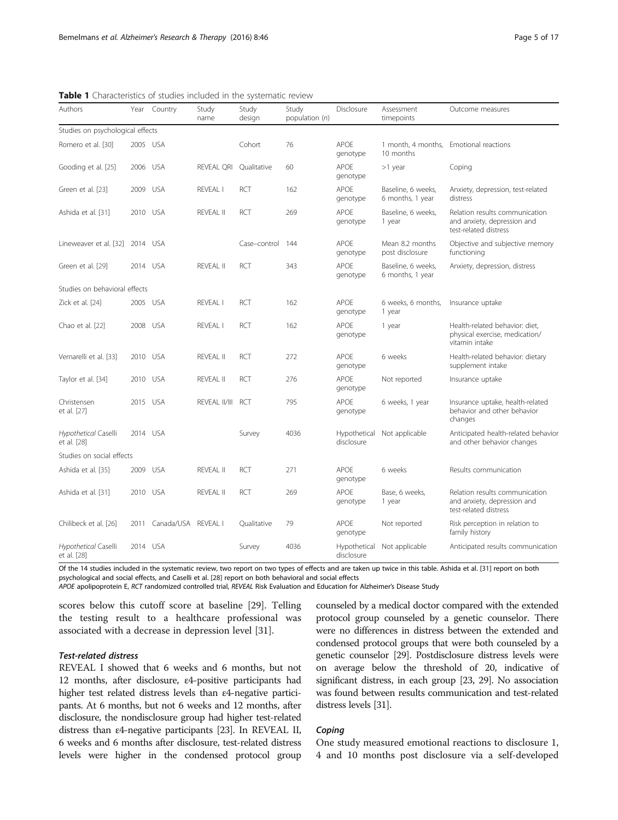| Authors                             | Year     | Country             | Study<br>name    | Study<br>design | Study<br>population (n) | Disclosure                 | Assessment<br>timepoints               | Outcome measures                                                                       |
|-------------------------------------|----------|---------------------|------------------|-----------------|-------------------------|----------------------------|----------------------------------------|----------------------------------------------------------------------------------------|
| Studies on psychological effects    |          |                     |                  |                 |                         |                            |                                        |                                                                                        |
| Romero et al. [30]                  | 2005 USA |                     |                  | Cohort          | 76                      | <b>APOE</b><br>genotype    | 1 month, 4 months,<br>10 months        | Emotional reactions                                                                    |
| Gooding et al. [25]                 | 2006     | <b>USA</b>          | REVEAL ORI       | Qualitative     | 60                      | <b>APOE</b><br>genotype    | $>1$ year                              | Coping                                                                                 |
| Green et al. [23]                   | 2009     | <b>USA</b>          | <b>REVEAL I</b>  | RCT             | 162                     | <b>APOE</b><br>genotype    | Baseline, 6 weeks,<br>6 months, 1 year | Anxiety, depression, test-related<br>distress                                          |
| Ashida et al. [31]                  | 2010 USA |                     | REVEAL II        | RCT             | 269                     | APOE<br>genotype           | Baseline, 6 weeks,<br>1 year           | Relation results communication<br>and anxiety, depression and<br>test-related distress |
| Lineweaver et al. [32]              | 2014 USA |                     |                  | Case-control    | 144                     | <b>APOE</b><br>genotype    | Mean 8.2 months<br>post disclosure     | Objective and subjective memory<br>functioning                                         |
| Green et al. [29]                   | 2014 USA |                     | <b>REVEAL II</b> | <b>RCT</b>      | 343                     | <b>APOE</b><br>genotype    | Baseline, 6 weeks,<br>6 months, 1 year | Anxiety, depression, distress                                                          |
| Studies on behavioral effects       |          |                     |                  |                 |                         |                            |                                        |                                                                                        |
| Zick et al. [24]                    | 2005 USA |                     | <b>REVEAL I</b>  | RCT             | 162                     | <b>APOE</b><br>genotype    | 6 weeks, 6 months,<br>1 year           | Insurance uptake                                                                       |
| Chao et al. [22]                    | 2008 USA |                     | <b>REVEAL I</b>  | RCT             | 162                     | <b>APOE</b><br>genotype    | 1 year                                 | Health-related behavior: diet,<br>physical exercise, medication/<br>vitamin intake     |
| Vernarelli et al. [33]              | 2010 USA |                     | <b>REVEAL II</b> | RCT             | 272                     | <b>APOE</b><br>genotype    | 6 weeks                                | Health-related behavior: dietary<br>supplement intake                                  |
| Taylor et al. [34]                  | 2010 USA |                     | <b>REVEAL II</b> | <b>RCT</b>      | 276                     | APOE<br>genotype           | Not reported                           | Insurance uptake                                                                       |
| Christensen<br>et al. [27]          | 2015 USA |                     | REVEAL II/III    | <b>RCT</b>      | 795                     | APOE<br>genotype           | 6 weeks, 1 year                        | Insurance uptake, health-related<br>behavior and other behavior<br>changes             |
| Hypothetical Caselli<br>et al. [28] | 2014 USA |                     |                  | Survey          | 4036                    | Hypothetical<br>disclosure | Not applicable                         | Anticipated health-related behavior<br>and other behavior changes                      |
| Studies on social effects           |          |                     |                  |                 |                         |                            |                                        |                                                                                        |
| Ashida et al. [35]                  | 2009     | <b>USA</b>          | REVEAL II        | RCT             | 271                     | <b>APOE</b><br>genotype    | 6 weeks                                | Results communication                                                                  |
| Ashida et al. [31]                  | 2010 USA |                     | <b>REVEAL II</b> | <b>RCT</b>      | 269                     | <b>APOE</b><br>genotype    | Base, 6 weeks,<br>1 year               | Relation results communication<br>and anxiety, depression and<br>test-related distress |
| Chilibeck et al. [26]               | 2011     | Canada/USA REVEAL I |                  | Oualitative     | 79                      | <b>APOE</b><br>genotype    | Not reported                           | Risk perception in relation to<br>family history                                       |
| Hypothetical Caselli<br>et al. [28] | 2014 USA |                     |                  | Survey          | 4036                    | Hypothetical<br>disclosure | Not applicable                         | Anticipated results communication                                                      |

<span id="page-4-0"></span>Table 1 Characteristics of studies included in the systematic review

Of the 14 studies included in the systematic review, two report on two types of effects and are taken up twice in this table. Ashida et al. [[31\]](#page-16-0) report on both psychological and social effects, and Caselli et al. [\[28](#page-16-0)] report on both behavioral and social effects

APOE apolipoprotein E, RCT randomized controlled trial, REVEAL Risk Evaluation and Education for Alzheimer's Disease Study

scores below this cutoff score at baseline [[29\]](#page-16-0). Telling the testing result to a healthcare professional was associated with a decrease in depression level [[31\]](#page-16-0).

# Test-related distress

REVEAL I showed that 6 weeks and 6 months, but not 12 months, after disclosure, ε4-positive participants had higher test related distress levels than ε4-negative participants. At 6 months, but not 6 weeks and 12 months, after disclosure, the nondisclosure group had higher test-related distress than ε4-negative participants [\[23](#page-16-0)]. In REVEAL II, 6 weeks and 6 months after disclosure, test-related distress levels were higher in the condensed protocol group

counseled by a medical doctor compared with the extended protocol group counseled by a genetic counselor. There were no differences in distress between the extended and condensed protocol groups that were both counseled by a genetic counselor [\[29\]](#page-16-0). Postdisclosure distress levels were on average below the threshold of 20, indicative of significant distress, in each group [\[23, 29\]](#page-16-0). No association was found between results communication and test-related distress levels [\[31](#page-16-0)].

# Coping

One study measured emotional reactions to disclosure 1, 4 and 10 months post disclosure via a self-developed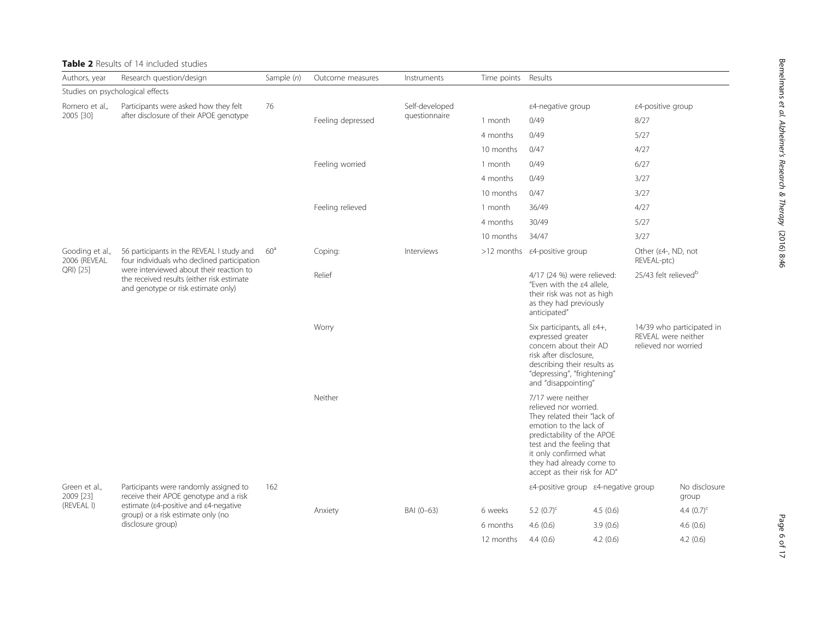<span id="page-5-0"></span>

| Authors, year                                | Research question/design                                                                                                      | Sample (n)      | Outcome measures  | Instruments    | Time points Results |                                                                                                                                                                                                                                                      |          |                                             |                           |
|----------------------------------------------|-------------------------------------------------------------------------------------------------------------------------------|-----------------|-------------------|----------------|---------------------|------------------------------------------------------------------------------------------------------------------------------------------------------------------------------------------------------------------------------------------------------|----------|---------------------------------------------|---------------------------|
|                                              | Studies on psychological effects                                                                                              |                 |                   |                |                     |                                                                                                                                                                                                                                                      |          |                                             |                           |
| Romero et al.,                               | Participants were asked how they felt                                                                                         | 76              |                   | Self-developed |                     | ε4-negative group                                                                                                                                                                                                                                    |          | ε4-positive group                           |                           |
| 2005 [30]                                    | after disclosure of their APOE genotype                                                                                       |                 | Feeling depressed | questionnaire  | 1 month             | 0/49                                                                                                                                                                                                                                                 |          | 8/27                                        |                           |
|                                              |                                                                                                                               |                 |                   |                | 4 months            | 0/49                                                                                                                                                                                                                                                 |          | 5/27                                        |                           |
|                                              |                                                                                                                               |                 |                   |                | 10 months           | 0/47                                                                                                                                                                                                                                                 |          | 4/27                                        |                           |
|                                              |                                                                                                                               |                 | Feeling worried   |                | 1 month             | 0/49                                                                                                                                                                                                                                                 |          | 6/27                                        |                           |
|                                              |                                                                                                                               |                 |                   |                | 4 months            | 0/49                                                                                                                                                                                                                                                 |          | 3/27                                        |                           |
|                                              |                                                                                                                               |                 |                   |                | 10 months           | 0/47                                                                                                                                                                                                                                                 |          | 3/27                                        |                           |
|                                              |                                                                                                                               |                 | Feeling relieved  |                | 1 month             | 36/49                                                                                                                                                                                                                                                |          | 4/27                                        |                           |
|                                              |                                                                                                                               |                 |                   |                | 4 months            | 30/49                                                                                                                                                                                                                                                |          | 5/27                                        |                           |
|                                              |                                                                                                                               |                 |                   |                | 10 months           | 34/47                                                                                                                                                                                                                                                | 3/27     |                                             |                           |
| Gooding et al.,<br>2006 (REVEAL<br>QRI) [25] | 56 participants in the REVEAL I study and<br>four individuals who declined participation                                      | 60 <sup>a</sup> | Coping:           | Interviews     |                     |                                                                                                                                                                                                                                                      |          | Other (£4-, ND, not<br>REVEAL-ptc)          |                           |
|                                              | were interviewed about their reaction to<br>the received results (either risk estimate<br>and genotype or risk estimate only) |                 | Relief            |                |                     | 4/17 (24 %) were relieved:<br>"Even with the $\varepsilon$ 4 allele,<br>their risk was not as high<br>as they had previously<br>anticipated"                                                                                                         |          | 25/43 felt relieved <sup>b</sup>            |                           |
|                                              |                                                                                                                               |                 | Worry             |                |                     | Six participants, all $\varepsilon$ 4+,<br>expressed greater<br>concern about their AD<br>risk after disclosure,<br>describing their results as<br>"depressing", "frightening"<br>and "disappointing"                                                |          | REVEAL were neither<br>relieved nor worried | 14/39 who participated in |
|                                              |                                                                                                                               |                 | Neither           |                |                     | 7/17 were neither<br>relieved nor worried.<br>They related their "lack of<br>emotion to the lack of<br>predictability of the APOE<br>test and the feeling that<br>it only confirmed what<br>they had already come to<br>accept as their risk for AD" |          |                                             |                           |
| Green et al.,<br>2009 [23]                   | Participants were randomly assigned to<br>receive their APOE genotype and a risk                                              | 162             |                   |                |                     | ε4-positive group ε4-negative group                                                                                                                                                                                                                  |          |                                             | No disclosure<br>group    |
| (REVEAL I)                                   | estimate (£4-positive and £4-negative<br>group) or a risk estimate only (no                                                   |                 | Anxiety           | BAI (0-63)     | 6 weeks             | 5.2 $(0.7)^c$                                                                                                                                                                                                                                        | 4.5(0.6) |                                             | 4.4 $(0.7)^c$             |
|                                              | disclosure group)                                                                                                             |                 |                   |                | 6 months            | 4.6(0.6)                                                                                                                                                                                                                                             | 3.9(0.6) |                                             | 4.6(0.6)                  |
|                                              |                                                                                                                               |                 |                   |                | 12 months           | 4.4(0.6)                                                                                                                                                                                                                                             | 4.2(0.6) |                                             | 4.2(0.6)                  |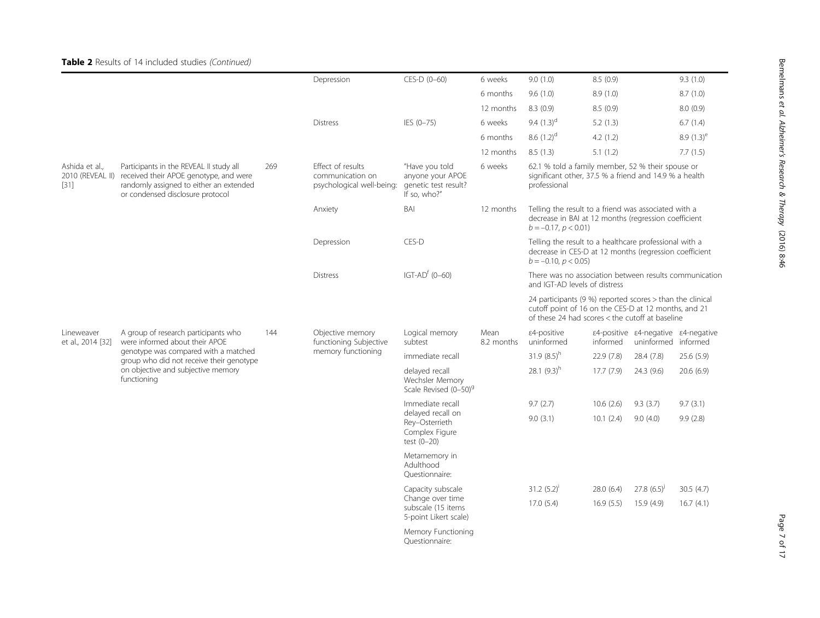# Table 2 Results of 14 included studies (Continued)

|                                              |                                                                                                                                                                                                                 |     | Depression                                                         | CES-D (0-60)                                                               | 6 weeks            | 9.0(1.0)                                                                                                                                                             | 8.5(0.9)   |                                                            | 9.3(1.0)      |
|----------------------------------------------|-----------------------------------------------------------------------------------------------------------------------------------------------------------------------------------------------------------------|-----|--------------------------------------------------------------------|----------------------------------------------------------------------------|--------------------|----------------------------------------------------------------------------------------------------------------------------------------------------------------------|------------|------------------------------------------------------------|---------------|
|                                              |                                                                                                                                                                                                                 |     |                                                                    |                                                                            | 6 months           | 9.6(1.0)                                                                                                                                                             | 8.9(1.0)   |                                                            | 8.7(1.0)      |
|                                              |                                                                                                                                                                                                                 |     |                                                                    |                                                                            | 12 months          | 8.3(0.9)                                                                                                                                                             | 8.5(0.9)   |                                                            | 8.0(0.9)      |
|                                              |                                                                                                                                                                                                                 |     | <b>Distress</b>                                                    | $IES (0-75)$                                                               | 6 weeks            | 9.4 $(1.3)^d$                                                                                                                                                        | 5.2(1.3)   |                                                            | 6.7(1.4)      |
|                                              |                                                                                                                                                                                                                 |     |                                                                    |                                                                            | 6 months           | 8.6 $(1.2)^d$                                                                                                                                                        | 4.2(1.2)   |                                                            | 8.9 $(1.3)^e$ |
|                                              |                                                                                                                                                                                                                 |     |                                                                    |                                                                            | 12 months          | 8.5(1.3)                                                                                                                                                             | 5.1(1.2)   |                                                            | 7.7(1.5)      |
| Ashida et al.,<br>2010 (REVEAL II)<br>$[31]$ | Participants in the REVEAL II study all<br>received their APOE genotype, and were<br>randomly assigned to either an extended<br>or condensed disclosure protocol                                                | 269 | Effect of results<br>communication on<br>psychological well-being: | "Have you told<br>anyone your APOE<br>genetic test result?<br>If so, who?" | 6 weeks            | 62.1 % told a family member, 52 % their spouse or<br>significant other, 37.5 % a friend and 14.9 % a health<br>professional                                          |            |                                                            |               |
|                                              |                                                                                                                                                                                                                 |     | Anxiety                                                            | BAI                                                                        | 12 months          | Telling the result to a friend was associated with a<br>decrease in BAI at 12 months (regression coefficient<br>$b = -0.17, p < 0.01$                                |            |                                                            |               |
|                                              |                                                                                                                                                                                                                 |     | Depression                                                         | CES-D                                                                      |                    | Telling the result to a healthcare professional with a<br>decrease in CES-D at 12 months (regression coefficient<br>$b = -0.10, p < 0.05$                            |            |                                                            |               |
|                                              |                                                                                                                                                                                                                 |     | <b>Distress</b>                                                    | $IGT-ADf$ (0-60)                                                           |                    | There was no association between results communication<br>and IGT-AD levels of distress                                                                              |            |                                                            |               |
|                                              |                                                                                                                                                                                                                 |     |                                                                    |                                                                            |                    | 24 participants (9 %) reported scores > than the clinical<br>cutoff point of 16 on the CES-D at 12 months, and 21<br>of these 24 had scores < the cutoff at baseline |            |                                                            |               |
| Lineweaver<br>et al., 2014 [32]              | A group of research participants who<br>were informed about their APOE<br>genotype was compared with a matched<br>group who did not receive their genotype<br>on objective and subjective memory<br>functioning | 144 | Objective memory<br>functioning Subjective<br>memory functioning   | Logical memory<br>subtest                                                  | Mean<br>8.2 months | ε4-positive<br>uninformed                                                                                                                                            | informed   | ε4-positive ε4-negative ε4-negative<br>uninformed informed |               |
|                                              |                                                                                                                                                                                                                 |     |                                                                    | immediate recall                                                           |                    | 31.9 $(8.5)^h$                                                                                                                                                       | 22.9(7.8)  | 28.4 (7.8)                                                 | 25.6(5.9)     |
|                                              |                                                                                                                                                                                                                 |     |                                                                    | delayed recall<br>Wechsler Memory<br>Scale Revised (0-50) <sup>9</sup>     |                    | 28.1 $(9.3)^{h}$                                                                                                                                                     | 17.7 (7.9) | 24.3(9.6)                                                  | 20.6(6.9)     |
|                                              |                                                                                                                                                                                                                 |     |                                                                    | Immediate recall                                                           |                    | 9.7(2.7)                                                                                                                                                             | 10.6(2.6)  | 9.3(3.7)                                                   | 9.7(3.1)      |
|                                              |                                                                                                                                                                                                                 |     |                                                                    | delayed recall on<br>Rev-Osterrieth<br>Complex Figure<br>test $(0-20)$     |                    | 9.0(3.1)                                                                                                                                                             | 10.1(2.4)  | 9.0(4.0)                                                   | 9.9(2.8)      |
|                                              |                                                                                                                                                                                                                 |     |                                                                    | Metamemory in<br>Adulthood<br>Questionnaire:                               |                    |                                                                                                                                                                      |            |                                                            |               |
|                                              |                                                                                                                                                                                                                 |     |                                                                    | Capacity subscale                                                          |                    | 31.2(5.2)                                                                                                                                                            | 28.0(6.4)  | 27.8(6.5)                                                  | 30.5(4.7)     |
|                                              |                                                                                                                                                                                                                 |     |                                                                    | Change over time<br>subscale (15 items<br>5-point Likert scale)            |                    | 17.0(5.4)                                                                                                                                                            | 16.9(5.5)  | 15.9(4.9)                                                  | 16.7(4.1)     |
|                                              |                                                                                                                                                                                                                 |     |                                                                    | Memory Functioning<br>Ouestionnaire:                                       |                    |                                                                                                                                                                      |            |                                                            |               |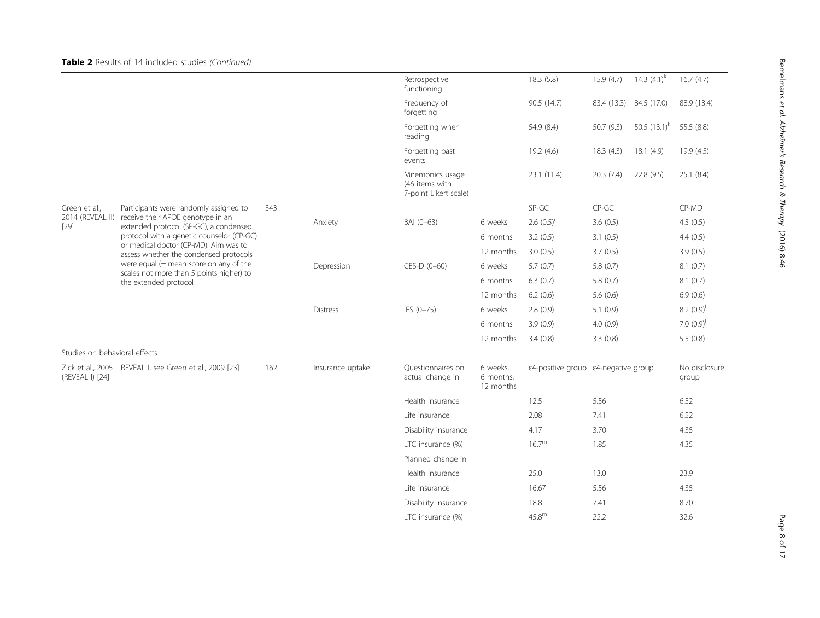|                               |                                                                                                                                                                                                  |     |                  | Retrospective<br>functioning                               |                                    | 18.3(5.8)                           | 15.9(4.7)   | 14.3 $(4.1)^k$  | 16.7(4.7)                |
|-------------------------------|--------------------------------------------------------------------------------------------------------------------------------------------------------------------------------------------------|-----|------------------|------------------------------------------------------------|------------------------------------|-------------------------------------|-------------|-----------------|--------------------------|
|                               |                                                                                                                                                                                                  |     |                  | Frequency of<br>forgetting                                 |                                    | 90.5 (14.7)                         | 83.4 (13.3) | 84.5 (17.0)     | 88.9 (13.4)              |
|                               |                                                                                                                                                                                                  |     |                  | Forgetting when<br>reading                                 |                                    | 54.9 (8.4)                          | 50.7(9.3)   | 50.5 $(13.1)^k$ | 55.5 (8.8)               |
|                               |                                                                                                                                                                                                  |     |                  | Forgetting past<br>events                                  |                                    | 19.2(4.6)                           | 18.3(4.3)   | 18.1(4.9)       | 19.9(4.5)                |
|                               |                                                                                                                                                                                                  |     |                  | Mnemonics usage<br>(46 items with<br>7-point Likert scale) |                                    | 23.1 (11.4)                         | 20.3(7.4)   | 22.8 (9.5)      | 25.1(8.4)                |
| Green et al.,                 | Participants were randomly assigned to                                                                                                                                                           | 343 |                  |                                                            |                                    | SP-GC                               | $CP-GC$     |                 | CP-MD                    |
| $[29]$                        | 2014 (REVEAL II) receive their APOE genotype in an<br>extended protocol (SP-GC), a condensed                                                                                                     |     | Anxiety          | BAI (0-63)                                                 | 6 weeks                            | 2.6 $(0.5)^c$                       | 3.6(0.5)    |                 | 4.3(0.5)                 |
|                               | protocol with a genetic counselor (CP-GC)                                                                                                                                                        |     |                  |                                                            | 6 months                           | 3.2(0.5)                            | 3.1(0.5)    |                 | 4.4(0.5)                 |
|                               | or medical doctor (CP-MD). Aim was to<br>assess whether the condensed protocols<br>were equal $(=$ mean score on any of the<br>scales not more than 5 points higher) to<br>the extended protocol |     |                  |                                                            | 12 months                          | 3.0(0.5)                            | 3.7(0.5)    |                 | 3.9(0.5)                 |
|                               |                                                                                                                                                                                                  |     | Depression       | CES-D (0-60)                                               | 6 weeks                            | 5.7(0.7)                            | 5.8(0.7)    |                 | 8.1(0.7)                 |
|                               |                                                                                                                                                                                                  |     |                  |                                                            | 6 months                           | 6.3(0.7)                            | 5.8(0.7)    |                 | 8.1(0.7)                 |
|                               |                                                                                                                                                                                                  |     |                  |                                                            | 12 months                          | 6.2(0.6)                            | 5.6(0.6)    |                 | 6.9(0.6)                 |
|                               |                                                                                                                                                                                                  |     | <b>Distress</b>  | IES (0-75)                                                 | 6 weeks                            | 2.8(0.9)                            | 5.1(0.9)    |                 | 8.2~(0.9)                |
|                               |                                                                                                                                                                                                  |     |                  |                                                            | 6 months                           | 3.9(0.9)                            | 4.0(0.9)    |                 | 7.0 $(0.9)$ <sup>1</sup> |
|                               |                                                                                                                                                                                                  |     |                  |                                                            | 12 months                          | 3.4(0.8)                            | 3.3(0.8)    |                 | 5.5(0.8)                 |
| Studies on behavioral effects |                                                                                                                                                                                                  |     |                  |                                                            |                                    |                                     |             |                 |                          |
| (REVEAL I) [24]               | Zick et al., 2005 REVEAL I, see Green et al., 2009 [23]                                                                                                                                          | 162 | Insurance uptake | Ouestionnaires on<br>actual change in                      | 6 weeks,<br>6 months,<br>12 months | ε4-positive group ε4-negative group |             |                 | No disclosure<br>group   |
|                               |                                                                                                                                                                                                  |     |                  | Health insurance                                           |                                    | 12.5                                | 5.56        |                 | 6.52                     |
|                               |                                                                                                                                                                                                  |     |                  | Life insurance                                             |                                    | 2.08                                | 7.41        |                 | 6.52                     |
|                               |                                                                                                                                                                                                  |     |                  | Disability insurance                                       |                                    | 4.17                                | 3.70        |                 | 4.35                     |
|                               |                                                                                                                                                                                                  |     |                  | LTC insurance (%)                                          |                                    | 16.7 <sup>m</sup>                   | 1.85        |                 | 4.35                     |
|                               |                                                                                                                                                                                                  |     |                  | Planned change in                                          |                                    |                                     |             |                 |                          |
|                               |                                                                                                                                                                                                  |     |                  | Health insurance                                           |                                    | 25.0                                | 13.0        |                 | 23.9                     |
|                               |                                                                                                                                                                                                  |     |                  | Life insurance                                             |                                    | 16.67                               | 5.56        |                 | 4.35                     |
|                               |                                                                                                                                                                                                  |     |                  | Disability insurance                                       |                                    | 18.8                                | 7.41        |                 | 8.70                     |
|                               |                                                                                                                                                                                                  |     |                  | LTC insurance (%)                                          |                                    | $45.8^m$                            | 22.2        |                 | 32.6                     |
|                               |                                                                                                                                                                                                  |     |                  |                                                            |                                    |                                     |             |                 |                          |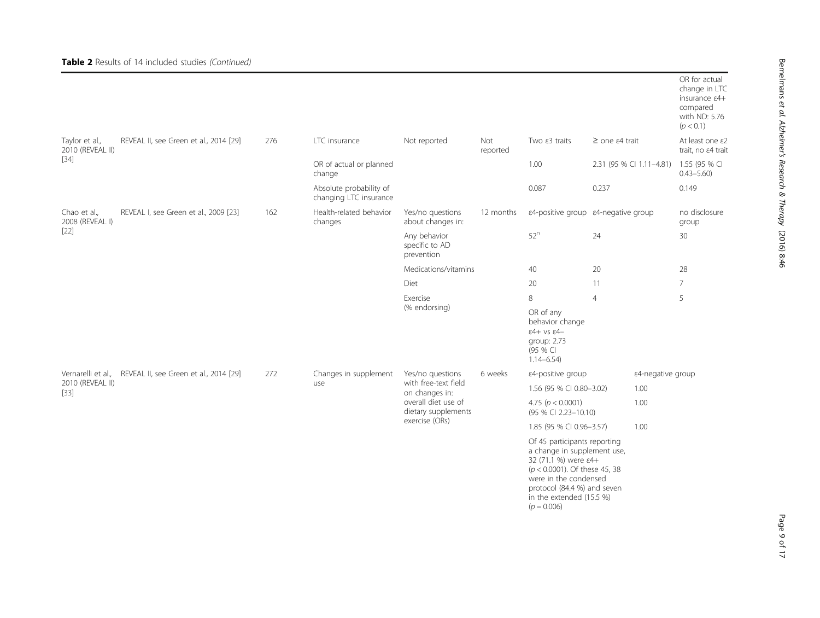|                                    |                                        |     |                                                   |                                              |                 |                                                                                                                                                                                                                               |                                  |                   | OR for actual<br>change in LTC<br>insurance $\varepsilon$ 4+<br>compared<br>with ND: 5.76<br>(p < 0.1) |
|------------------------------------|----------------------------------------|-----|---------------------------------------------------|----------------------------------------------|-----------------|-------------------------------------------------------------------------------------------------------------------------------------------------------------------------------------------------------------------------------|----------------------------------|-------------------|--------------------------------------------------------------------------------------------------------|
| Taylor et al.,<br>2010 (REVEAL II) | REVEAL II, see Green et al., 2014 [29] | 276 | LTC insurance                                     | Not reported                                 | Not<br>reported | Two $\epsilon$ 3 traits                                                                                                                                                                                                       | $\geq$ one $\varepsilon$ 4 trait |                   | At least one ε2<br>trait, no $\varepsilon$ 4 trait                                                     |
| $[34]$                             |                                        |     | OR of actual or planned<br>change                 |                                              |                 | 1.00                                                                                                                                                                                                                          |                                  |                   | 2.31 (95 % CI 1.11-4.81) 1.55 (95 % CI<br>$0.43 - 5.60$                                                |
|                                    |                                        |     | Absolute probability of<br>changing LTC insurance |                                              |                 | 0.087                                                                                                                                                                                                                         | 0.237                            |                   | 0.149                                                                                                  |
| Chao et al<br>2008 (REVEAL I)      | REVEAL I, see Green et al., 2009 [23]  | 162 | Health-related behavior<br>changes                | Yes/no questions<br>about changes in:        | 12 months       | $\epsilon$ 4-positive group $\epsilon$ 4-negative group                                                                                                                                                                       |                                  |                   | no disclosure<br>group                                                                                 |
| $[22]$                             |                                        |     |                                                   | Any behavior<br>specific to AD<br>prevention |                 | 52 <sup>n</sup>                                                                                                                                                                                                               | 24                               |                   | 30                                                                                                     |
|                                    |                                        |     |                                                   | Medications/vitamins                         |                 | 40                                                                                                                                                                                                                            | 20                               |                   | 28                                                                                                     |
|                                    |                                        |     |                                                   | Diet                                         |                 | 20                                                                                                                                                                                                                            | 11                               |                   | $\overline{7}$                                                                                         |
|                                    |                                        |     |                                                   | Exercise<br>(% endorsing)                    |                 | 8<br>OR of any<br>behavior change<br>$\epsilon$ 4+ vs $\epsilon$ 4-<br>group: 2.73<br>(95 % CI<br>$1.14 - 6.54$                                                                                                               | $\overline{4}$                   |                   | 5                                                                                                      |
| Vernarelli et al.,                 | REVEAL II, see Green et al., 2014 [29] | 272 | Changes in supplement                             | Yes/no questions                             | 6 weeks         | ε4-positive group                                                                                                                                                                                                             |                                  | ε4-negative group |                                                                                                        |
| 2010 (REVEAL II)<br>$[33]$         |                                        |     | use                                               | with free-text field<br>on changes in:       |                 | 1.56 (95 % CI 0.80-3.02)                                                                                                                                                                                                      |                                  | 1.00              |                                                                                                        |
|                                    |                                        |     |                                                   | overall diet use of<br>dietary supplements   |                 | 4.75 ( $p < 0.0001$ )<br>(95 % CI 2.23-10.10)                                                                                                                                                                                 |                                  | 1.00              |                                                                                                        |
|                                    |                                        |     |                                                   | exercise (ORs)                               |                 | 1.85 (95 % CI 0.96-3.57)                                                                                                                                                                                                      |                                  | 1.00              |                                                                                                        |
|                                    |                                        |     |                                                   |                                              |                 | Of 45 participants reporting<br>a change in supplement use,<br>32 (71.1 %) were ε4+<br>( $p < 0.0001$ ). Of these 45, 38<br>were in the condensed<br>protocol (84.4 %) and seven<br>in the extended (15.5 %)<br>$(p = 0.006)$ |                                  |                   |                                                                                                        |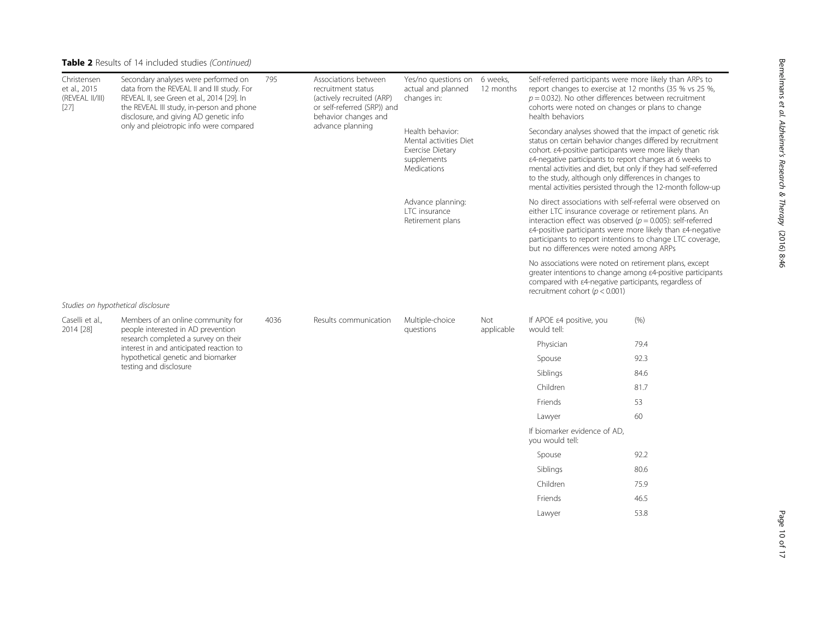| Christensen<br>et al., 2015<br>(REVEAL II/III)<br>$[27]$ | Secondary analyses were performed on<br>data from the REVEAL II and III study. For<br>REVEAL II, see Green et al., 2014 [29]. In<br>the REVEAL III study, in-person and phone<br>disclosure, and giving AD genetic info | 795              | Associations between<br>recruitment status<br>(actively recruited (ARP)<br>or self-referred (SRP)) and<br>behavior changes and | Yes/no questions on 6 weeks,<br>actual and planned<br>12 months<br>changes in:               |                   | Self-referred participants were more likely than ARPs to<br>report changes to exercise at 12 months (35 % vs 25 %,<br>$p = 0.032$ ). No other differences between recruitment<br>cohorts were noted on changes or plans to change<br>health behaviors                                                                                                                                                                                            |      |  |
|----------------------------------------------------------|-------------------------------------------------------------------------------------------------------------------------------------------------------------------------------------------------------------------------|------------------|--------------------------------------------------------------------------------------------------------------------------------|----------------------------------------------------------------------------------------------|-------------------|--------------------------------------------------------------------------------------------------------------------------------------------------------------------------------------------------------------------------------------------------------------------------------------------------------------------------------------------------------------------------------------------------------------------------------------------------|------|--|
|                                                          | only and pleiotropic info were compared                                                                                                                                                                                 | advance planning |                                                                                                                                | Health behavior:<br>Mental activities Diet<br>Exercise Dietary<br>supplements<br>Medications |                   | Secondary analyses showed that the impact of genetic risk<br>status on certain behavior changes differed by recruitment<br>cohort. $\epsilon$ 4-positive participants were more likely than<br>ε4-negative participants to report changes at 6 weeks to<br>mental activities and diet, but only if they had self-referred<br>to the study, although only differences in changes to<br>mental activities persisted through the 12-month follow-up |      |  |
|                                                          |                                                                                                                                                                                                                         |                  |                                                                                                                                | Advance planning:<br>LTC insurance<br>Retirement plans                                       |                   | No direct associations with self-referral were observed on<br>either LTC insurance coverage or retirement plans. An<br>interaction effect was observed ( $p = 0.005$ ): self-referred<br>ε4-positive participants were more likely than ε4-negative<br>participants to report intentions to change LTC coverage,<br>but no differences were noted among ARPs                                                                                     |      |  |
|                                                          |                                                                                                                                                                                                                         |                  |                                                                                                                                |                                                                                              |                   | No associations were noted on retirement plans, except<br>greater intentions to change among £4-positive participants<br>compared with $\varepsilon$ 4-negative participants, regardless of<br>recruitment cohort ( $p < 0.001$ )                                                                                                                                                                                                                |      |  |
|                                                          | Studies on hypothetical disclosure                                                                                                                                                                                      |                  |                                                                                                                                |                                                                                              |                   |                                                                                                                                                                                                                                                                                                                                                                                                                                                  |      |  |
| Caselli et al.,<br>2014 [28]                             | Members of an online community for<br>people interested in AD prevention                                                                                                                                                | 4036             | Results communication                                                                                                          | Multiple-choice<br>questions                                                                 | Not<br>applicable | If APOE ε4 positive, you<br>would tell:                                                                                                                                                                                                                                                                                                                                                                                                          | (% ) |  |
|                                                          | research completed a survey on their<br>interest in and anticipated reaction to                                                                                                                                         |                  |                                                                                                                                |                                                                                              |                   | Physician                                                                                                                                                                                                                                                                                                                                                                                                                                        | 79.4 |  |
|                                                          | hypothetical genetic and biomarker<br>testing and disclosure                                                                                                                                                            |                  |                                                                                                                                |                                                                                              |                   | Spouse                                                                                                                                                                                                                                                                                                                                                                                                                                           | 92.3 |  |
|                                                          |                                                                                                                                                                                                                         |                  |                                                                                                                                |                                                                                              |                   | Siblings                                                                                                                                                                                                                                                                                                                                                                                                                                         | 84.6 |  |
|                                                          |                                                                                                                                                                                                                         |                  |                                                                                                                                |                                                                                              |                   | Children                                                                                                                                                                                                                                                                                                                                                                                                                                         | 81.7 |  |
|                                                          |                                                                                                                                                                                                                         |                  |                                                                                                                                |                                                                                              |                   | Friends                                                                                                                                                                                                                                                                                                                                                                                                                                          | 53   |  |
|                                                          |                                                                                                                                                                                                                         |                  |                                                                                                                                |                                                                                              |                   | Lawyer                                                                                                                                                                                                                                                                                                                                                                                                                                           | 60   |  |
|                                                          |                                                                                                                                                                                                                         |                  |                                                                                                                                |                                                                                              |                   | If biomarker evidence of AD.<br>you would tell:                                                                                                                                                                                                                                                                                                                                                                                                  |      |  |
|                                                          |                                                                                                                                                                                                                         |                  |                                                                                                                                |                                                                                              |                   | Spouse                                                                                                                                                                                                                                                                                                                                                                                                                                           | 92.2 |  |
|                                                          |                                                                                                                                                                                                                         |                  |                                                                                                                                |                                                                                              |                   | Siblings                                                                                                                                                                                                                                                                                                                                                                                                                                         | 80.6 |  |
|                                                          |                                                                                                                                                                                                                         |                  |                                                                                                                                |                                                                                              |                   | Children                                                                                                                                                                                                                                                                                                                                                                                                                                         | 75.9 |  |
|                                                          |                                                                                                                                                                                                                         |                  |                                                                                                                                |                                                                                              |                   | Friends                                                                                                                                                                                                                                                                                                                                                                                                                                          | 46.5 |  |
|                                                          |                                                                                                                                                                                                                         |                  |                                                                                                                                |                                                                                              |                   | Lawyer                                                                                                                                                                                                                                                                                                                                                                                                                                           | 53.8 |  |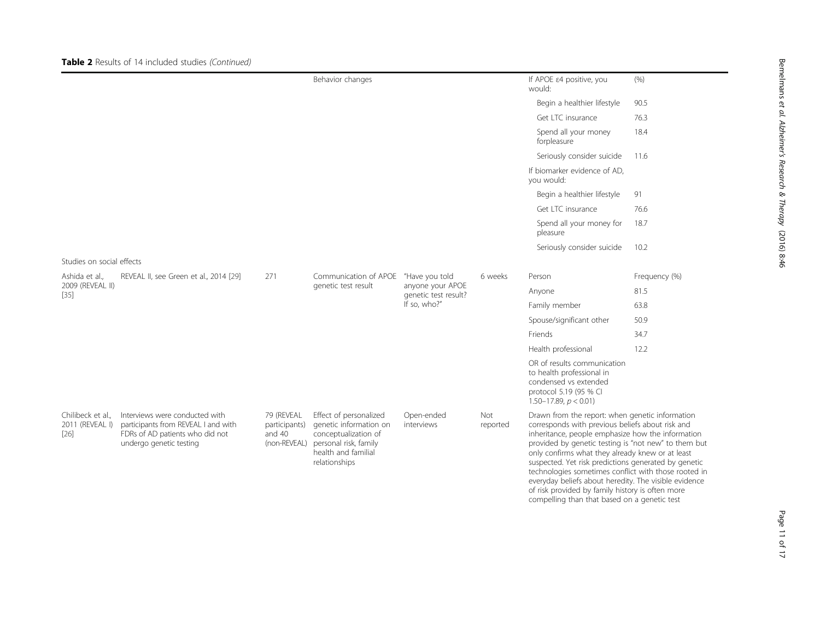|                                               |                                                                                                                                     |                                                       | Behavior changes                                                                                                                          |                                          |                 | If APOE $\varepsilon$ 4 positive, you<br>would:                                                                                                                                                                                                                                                                                                                                                                                               | (% )          |
|-----------------------------------------------|-------------------------------------------------------------------------------------------------------------------------------------|-------------------------------------------------------|-------------------------------------------------------------------------------------------------------------------------------------------|------------------------------------------|-----------------|-----------------------------------------------------------------------------------------------------------------------------------------------------------------------------------------------------------------------------------------------------------------------------------------------------------------------------------------------------------------------------------------------------------------------------------------------|---------------|
|                                               |                                                                                                                                     |                                                       |                                                                                                                                           |                                          |                 | Begin a healthier lifestyle                                                                                                                                                                                                                                                                                                                                                                                                                   | 90.5          |
|                                               |                                                                                                                                     |                                                       |                                                                                                                                           |                                          |                 | Get LTC insurance                                                                                                                                                                                                                                                                                                                                                                                                                             | 76.3          |
|                                               |                                                                                                                                     |                                                       |                                                                                                                                           |                                          |                 | Spend all your money<br>forpleasure                                                                                                                                                                                                                                                                                                                                                                                                           | 18.4          |
|                                               |                                                                                                                                     |                                                       |                                                                                                                                           |                                          |                 | Seriously consider suicide                                                                                                                                                                                                                                                                                                                                                                                                                    | 11.6          |
|                                               |                                                                                                                                     |                                                       |                                                                                                                                           |                                          |                 | If biomarker evidence of AD,<br>you would:                                                                                                                                                                                                                                                                                                                                                                                                    |               |
|                                               |                                                                                                                                     |                                                       |                                                                                                                                           |                                          |                 | Begin a healthier lifestyle                                                                                                                                                                                                                                                                                                                                                                                                                   | 91            |
|                                               |                                                                                                                                     |                                                       |                                                                                                                                           |                                          |                 | Get LTC insurance                                                                                                                                                                                                                                                                                                                                                                                                                             | 76.6          |
|                                               |                                                                                                                                     |                                                       |                                                                                                                                           |                                          |                 | Spend all your money for<br>pleasure                                                                                                                                                                                                                                                                                                                                                                                                          | 18.7          |
|                                               |                                                                                                                                     |                                                       |                                                                                                                                           |                                          |                 | Seriously consider suicide                                                                                                                                                                                                                                                                                                                                                                                                                    | 10.2          |
| Studies on social effects                     |                                                                                                                                     |                                                       |                                                                                                                                           |                                          |                 |                                                                                                                                                                                                                                                                                                                                                                                                                                               |               |
| Ashida et al.,                                | REVEAL II, see Green et al., 2014 [29]                                                                                              | 271                                                   | Communication of APOE                                                                                                                     | "Have you told                           | 6 weeks         | Person                                                                                                                                                                                                                                                                                                                                                                                                                                        | Frequency (%) |
| 2009 (REVEAL II)<br>$[35]$                    |                                                                                                                                     |                                                       | genetic test result                                                                                                                       | anyone your APOE<br>genetic test result? |                 | Anyone                                                                                                                                                                                                                                                                                                                                                                                                                                        | 81.5          |
|                                               |                                                                                                                                     |                                                       |                                                                                                                                           | If so, who?"                             |                 | Family member                                                                                                                                                                                                                                                                                                                                                                                                                                 | 63.8          |
|                                               |                                                                                                                                     |                                                       |                                                                                                                                           |                                          |                 | Spouse/significant other                                                                                                                                                                                                                                                                                                                                                                                                                      | 50.9          |
|                                               |                                                                                                                                     |                                                       |                                                                                                                                           |                                          |                 | <b>Friends</b>                                                                                                                                                                                                                                                                                                                                                                                                                                | 34.7          |
|                                               |                                                                                                                                     |                                                       |                                                                                                                                           |                                          |                 | Health professional                                                                                                                                                                                                                                                                                                                                                                                                                           | 12.2          |
|                                               |                                                                                                                                     |                                                       |                                                                                                                                           |                                          |                 | OR of results communication<br>to health professional in<br>condensed vs extended<br>protocol 5.19 (95 % CI<br>$1.50 - 17.89$ , $p < 0.01$ )                                                                                                                                                                                                                                                                                                  |               |
| Chilibeck et al.<br>2011 (REVEAL I)<br>$[26]$ | Interviews were conducted with<br>participants from REVEAL I and with<br>FDRs of AD patients who did not<br>undergo genetic testing | 79 (REVEAL<br>participants)<br>and 40<br>(non-REVEAL) | Effect of personalized<br>genetic information on<br>conceptualization of<br>personal risk, family<br>health and familial<br>relationships | Open-ended<br>interviews                 | Not<br>reported | Drawn from the report: when genetic information<br>corresponds with previous beliefs about risk and<br>inheritance, people emphasize how the information<br>provided by genetic testing is "not new" to them but<br>only confirms what they already knew or at least<br>suspected. Yet risk predictions generated by genetic<br>technologies sometimes conflict with those rooted in<br>everyday beliefs about heredity. The visible evidence |               |

of risk provided by family history is often more compelling than that based on a genetic test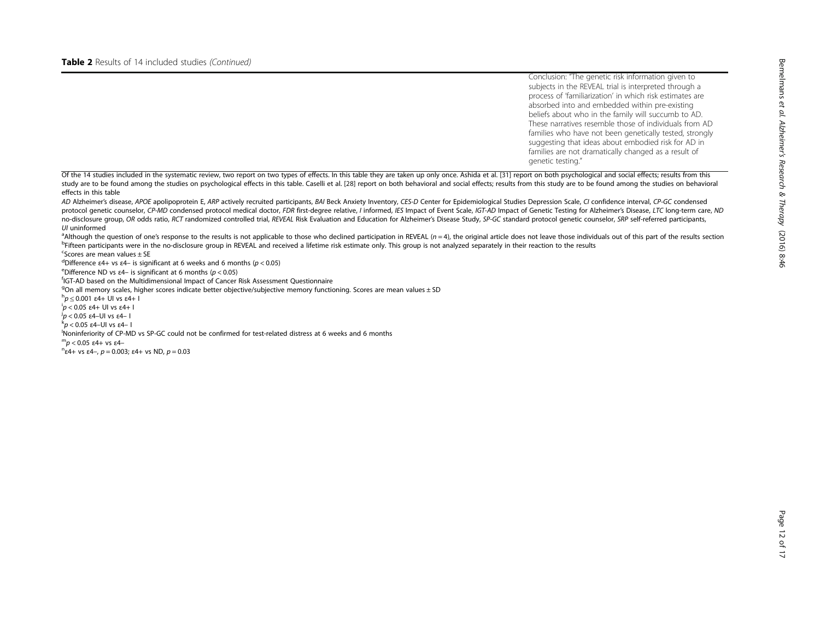Conclusion: "The genetic risk information given to subjects in the REVEAL trial is interpreted through a process of 'familiarization' in which risk estimates are absorbed into and embedded within pre-existing beliefs about who in the family will succumb to AD. These narratives resemble those of individuals from AD families who have not been genetically tested, strongly suggesting that ideas about embodied risk for AD in families are not dramatically changed as a result of genetic testing."

Of the 14 studies included in the systematic review, two report on two types of effects. In this table they are taken up only once. Ashida et al. [\[31](#page-16-0)] report on both psychological and social effects; results from this study are to be found among the studies on psychological effects in this table. Caselli et al. [[28](#page-16-0)] report on both behavioral and social effects; results from this study are to be found among the studies on behavioral effects in this table

AD Alzheimer's disease, APOE apolipoprotein E, ARP actively recruited participants, BAI Beck Anxiety Inventory, CES-D Center for Epidemiological Studies Depression Scale, CI confidence interval, CP-GC condensed protocol genetic counselor, CP-MD condensed protocol medical doctor, FDR first-degree relative, I informed, IES Impact of Event Scale, IGT-AD Impact of Genetic Testing for Alzheimer's Disease, LTC long-term care, ND no-disclosure group, OR odds ratio, RCT randomized controlled trial, REVEAL Risk Evaluation and Education for Alzheimer's Disease Study, SP-GC standard protocol genetic counselor, SRP self-referred participants,  $UI$  uninformed

<sup>a</sup> Although the question of one's response to the results is not applicable to those who declined participation in REVEAL (n = 4), the original article does not leave those individuals out of this part of the results sec <sup>b</sup>Fifteen participants were in the no-disclosure group in REVEAL and received a lifetime risk estimate only. This group is not analyzed separately in their reaction to the results

 $c$ Scores are mean values  $\pm$  SE dDifference ε4+ vs ε4– is significant at 6 weeks and 6 months (p < 0.05)<br><sup>e</sup>Difference ND vs ε4– is significant at 6 months (p < 0.05) <sup>e</sup>Difference ND vs ε4– is significant at 6 months (ρ < 0.05)<br><sup>f</sup>IGT-AD based on the Multidimensional Impact of Cancer Risk Assessment Questionnaire <sup>9</sup>On all memory scales, higher scores indicate better objective/subjective memory functioning. Scores are mean values ± SD  $h_p < 0.001$   $\varepsilon$ 4+ UI vs  $\varepsilon$ 4+ I  $p < 0.05$   $\varepsilon$ 4+ UI vs  $\varepsilon$ 4+ I <sup>1</sup>p < 0.05 ε4+ UI vs ε4+ I<br><sup>j</sup>n < 0.05 ε4–III vs ε4–I <sup>J</sup>p < 0.05 ε4–UI vs ε4– I<br><sup>k</sup>n < 0.05 ε4–UI vs ε4– <sup>k</sup>ρ < 0.05 ε4–UI vs ε4– I<br><sup>I</sup>Noninferiority of CP-MD vs SP-GC could not be confirmed for test-related distress at 6 weeks and 6 months  $m$   $p$  < 0.05 ε4+ vs ε4- ${}^{n}$ ε4+ vs ε4–, p = 0.003; ε4+ vs ND, p = 0.03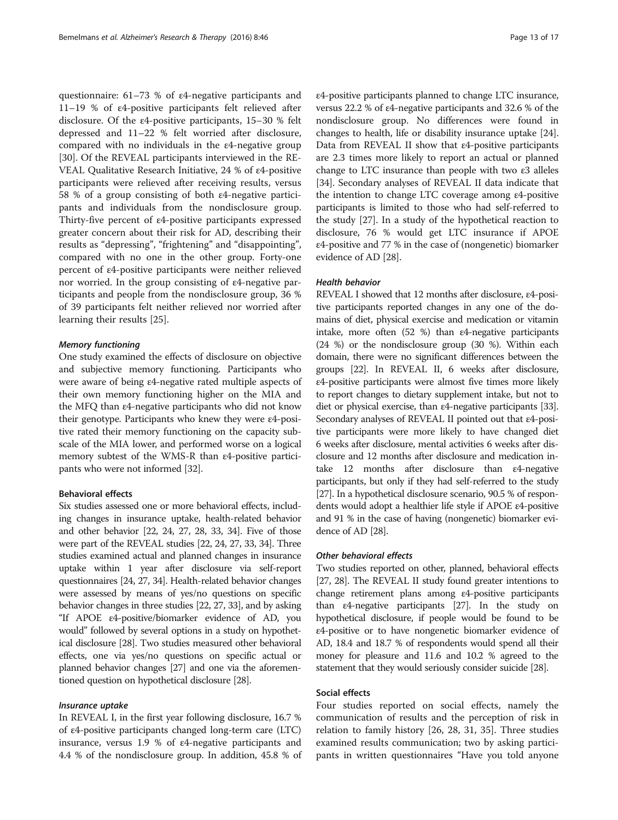questionnaire: 61–73 % of ε4-negative participants and 11–19 % of ε4-positive participants felt relieved after disclosure. Of the ε4-positive participants, 15–30 % felt depressed and 11–22 % felt worried after disclosure, compared with no individuals in the ε4-negative group [[30\]](#page-16-0). Of the REVEAL participants interviewed in the RE-VEAL Qualitative Research Initiative, 24 % of ε4-positive participants were relieved after receiving results, versus 58 % of a group consisting of both ε4-negative participants and individuals from the nondisclosure group. Thirty-five percent of ε4-positive participants expressed greater concern about their risk for AD, describing their results as "depressing", "frightening" and "disappointing", compared with no one in the other group. Forty-one percent of ε4-positive participants were neither relieved nor worried. In the group consisting of ε4-negative participants and people from the nondisclosure group, 36 % of 39 participants felt neither relieved nor worried after learning their results [[25\]](#page-16-0).

#### Memory functioning

One study examined the effects of disclosure on objective and subjective memory functioning. Participants who were aware of being ε4-negative rated multiple aspects of their own memory functioning higher on the MIA and the MFQ than ε4-negative participants who did not know their genotype. Participants who knew they were ε4-positive rated their memory functioning on the capacity subscale of the MIA lower, and performed worse on a logical memory subtest of the WMS-R than ε4-positive participants who were not informed [[32](#page-16-0)].

# Behavioral effects

Six studies assessed one or more behavioral effects, including changes in insurance uptake, health-related behavior and other behavior [\[22](#page-16-0), [24](#page-16-0), [27, 28](#page-16-0), [33, 34\]](#page-16-0). Five of those were part of the REVEAL studies [\[22, 24, 27, 33](#page-16-0), [34](#page-16-0)]. Three studies examined actual and planned changes in insurance uptake within 1 year after disclosure via self-report questionnaires [\[24](#page-16-0), [27](#page-16-0), [34\]](#page-16-0). Health-related behavior changes were assessed by means of yes/no questions on specific behavior changes in three studies [\[22](#page-16-0), [27](#page-16-0), [33](#page-16-0)], and by asking "If APOE ε4-positive/biomarker evidence of AD, you would" followed by several options in a study on hypothetical disclosure [[28](#page-16-0)]. Two studies measured other behavioral effects, one via yes/no questions on specific actual or planned behavior changes [[27](#page-16-0)] and one via the aforementioned question on hypothetical disclosure [\[28](#page-16-0)].

## Insurance uptake

In REVEAL I, in the first year following disclosure, 16.7 % of ε4-positive participants changed long-term care (LTC) insurance, versus 1.9 % of  $\varepsilon$ 4-negative participants and 4.4 % of the nondisclosure group. In addition, 45.8 % of

ε4-positive participants planned to change LTC insurance, versus 22.2 % of ε4-negative participants and 32.6 % of the nondisclosure group. No differences were found in changes to health, life or disability insurance uptake [[24](#page-16-0)]. Data from REVEAL II show that ε4-positive participants are 2.3 times more likely to report an actual or planned change to LTC insurance than people with two ε3 alleles [[34](#page-16-0)]. Secondary analyses of REVEAL II data indicate that the intention to change LTC coverage among ε4-positive participants is limited to those who had self-referred to the study [\[27](#page-16-0)]. In a study of the hypothetical reaction to disclosure, 76 % would get LTC insurance if APOE ε4-positive and 77 % in the case of (nongenetic) biomarker evidence of AD [\[28\]](#page-16-0).

# Health behavior

REVEAL I showed that 12 months after disclosure, ε4-positive participants reported changes in any one of the domains of diet, physical exercise and medication or vitamin intake, more often  $(52 \%)$  than  $\varepsilon$ 4-negative participants (24 %) or the nondisclosure group (30 %). Within each domain, there were no significant differences between the groups [[22](#page-16-0)]. In REVEAL II, 6 weeks after disclosure, ε4-positive participants were almost five times more likely to report changes to dietary supplement intake, but not to diet or physical exercise, than ε4-negative participants [\[33](#page-16-0)]. Secondary analyses of REVEAL II pointed out that ε4-positive participants were more likely to have changed diet 6 weeks after disclosure, mental activities 6 weeks after disclosure and 12 months after disclosure and medication intake 12 months after disclosure than ε4-negative participants, but only if they had self-referred to the study [[27](#page-16-0)]. In a hypothetical disclosure scenario, 90.5 % of respondents would adopt a healthier life style if APOE ε4-positive and 91 % in the case of having (nongenetic) biomarker evidence of AD [\[28](#page-16-0)].

#### Other behavioral effects

Two studies reported on other, planned, behavioral effects [[27](#page-16-0), [28\]](#page-16-0). The REVEAL II study found greater intentions to change retirement plans among ε4-positive participants than ε4-negative participants [[27\]](#page-16-0). In the study on hypothetical disclosure, if people would be found to be ε4-positive or to have nongenetic biomarker evidence of AD, 18.4 and 18.7 % of respondents would spend all their money for pleasure and 11.6 and 10.2 % agreed to the statement that they would seriously consider suicide [\[28\]](#page-16-0).

## Social effects

Four studies reported on social effects, namely the communication of results and the perception of risk in relation to family history [[26, 28](#page-16-0), [31](#page-16-0), [35](#page-16-0)]. Three studies examined results communication; two by asking participants in written questionnaires "Have you told anyone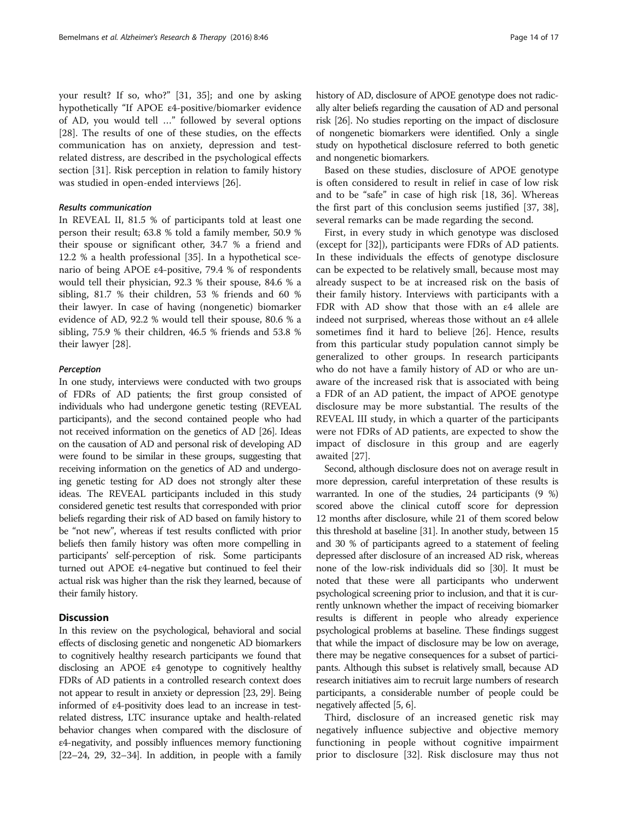your result? If so, who?" [[31](#page-16-0), [35](#page-16-0)]; and one by asking hypothetically "If APOE ε4-positive/biomarker evidence of AD, you would tell …" followed by several options [[28\]](#page-16-0). The results of one of these studies, on the effects communication has on anxiety, depression and testrelated distress, are described in the psychological effects section [[31\]](#page-16-0). Risk perception in relation to family history was studied in open-ended interviews [\[26](#page-16-0)].

# Results communication

In REVEAL II, 81.5 % of participants told at least one person their result; 63.8 % told a family member, 50.9 % their spouse or significant other, 34.7 % a friend and 12.2 % a health professional [[35\]](#page-16-0). In a hypothetical scenario of being APOE ε4-positive, 79.4 % of respondents would tell their physician, 92.3 % their spouse, 84.6 % a sibling, 81.7 % their children, 53 % friends and 60 % their lawyer. In case of having (nongenetic) biomarker evidence of AD, 92.2 % would tell their spouse, 80.6 % a sibling, 75.9 % their children, 46.5 % friends and 53.8 % their lawyer [\[28\]](#page-16-0).

#### Perception

In one study, interviews were conducted with two groups of FDRs of AD patients; the first group consisted of individuals who had undergone genetic testing (REVEAL participants), and the second contained people who had not received information on the genetics of AD [[26\]](#page-16-0). Ideas on the causation of AD and personal risk of developing AD were found to be similar in these groups, suggesting that receiving information on the genetics of AD and undergoing genetic testing for AD does not strongly alter these ideas. The REVEAL participants included in this study considered genetic test results that corresponded with prior beliefs regarding their risk of AD based on family history to be "not new", whereas if test results conflicted with prior beliefs then family history was often more compelling in participants' self-perception of risk. Some participants turned out APOE ε4-negative but continued to feel their actual risk was higher than the risk they learned, because of their family history.

# **Discussion**

In this review on the psychological, behavioral and social effects of disclosing genetic and nongenetic AD biomarkers to cognitively healthy research participants we found that disclosing an APOE ε4 genotype to cognitively healthy FDRs of AD patients in a controlled research context does not appear to result in anxiety or depression [\[23](#page-16-0), [29\]](#page-16-0). Being informed of ε4-positivity does lead to an increase in testrelated distress, LTC insurance uptake and health-related behavior changes when compared with the disclosure of ε4-negativity, and possibly influences memory functioning  $[22-24, 29, 32-34]$  $[22-24, 29, 32-34]$  $[22-24, 29, 32-34]$  $[22-24, 29, 32-34]$  $[22-24, 29, 32-34]$  $[22-24, 29, 32-34]$  $[22-24, 29, 32-34]$  $[22-24, 29, 32-34]$  $[22-24, 29, 32-34]$  $[22-24, 29, 32-34]$ . In addition, in people with a family history of AD, disclosure of APOE genotype does not radically alter beliefs regarding the causation of AD and personal risk [\[26\]](#page-16-0). No studies reporting on the impact of disclosure of nongenetic biomarkers were identified. Only a single study on hypothetical disclosure referred to both genetic and nongenetic biomarkers.

Based on these studies, disclosure of APOE genotype is often considered to result in relief in case of low risk and to be "safe" in case of high risk [\[18, 36](#page-16-0)]. Whereas the first part of this conclusion seems justified [[37](#page-16-0), [38](#page-16-0)], several remarks can be made regarding the second.

First, in every study in which genotype was disclosed (except for [\[32](#page-16-0)]), participants were FDRs of AD patients. In these individuals the effects of genotype disclosure can be expected to be relatively small, because most may already suspect to be at increased risk on the basis of their family history. Interviews with participants with a FDR with AD show that those with an ε4 allele are indeed not surprised, whereas those without an ε4 allele sometimes find it hard to believe [\[26](#page-16-0)]. Hence, results from this particular study population cannot simply be generalized to other groups. In research participants who do not have a family history of AD or who are unaware of the increased risk that is associated with being a FDR of an AD patient, the impact of APOE genotype disclosure may be more substantial. The results of the REVEAL III study, in which a quarter of the participants were not FDRs of AD patients, are expected to show the impact of disclosure in this group and are eagerly awaited [[27\]](#page-16-0).

Second, although disclosure does not on average result in more depression, careful interpretation of these results is warranted. In one of the studies, 24 participants (9 %) scored above the clinical cutoff score for depression 12 months after disclosure, while 21 of them scored below this threshold at baseline [[31\]](#page-16-0). In another study, between 15 and 30 % of participants agreed to a statement of feeling depressed after disclosure of an increased AD risk, whereas none of the low-risk individuals did so [\[30](#page-16-0)]. It must be noted that these were all participants who underwent psychological screening prior to inclusion, and that it is currently unknown whether the impact of receiving biomarker results is different in people who already experience psychological problems at baseline. These findings suggest that while the impact of disclosure may be low on average, there may be negative consequences for a subset of participants. Although this subset is relatively small, because AD research initiatives aim to recruit large numbers of research participants, a considerable number of people could be negatively affected [\[5, 6\]](#page-15-0).

Third, disclosure of an increased genetic risk may negatively influence subjective and objective memory functioning in people without cognitive impairment prior to disclosure [\[32\]](#page-16-0). Risk disclosure may thus not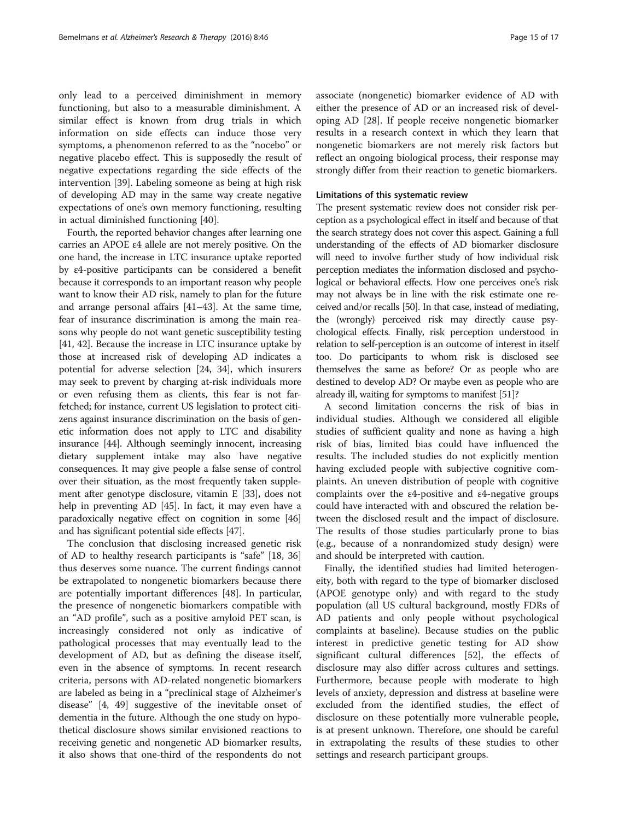only lead to a perceived diminishment in memory functioning, but also to a measurable diminishment. A similar effect is known from drug trials in which information on side effects can induce those very symptoms, a phenomenon referred to as the "nocebo" or negative placebo effect. This is supposedly the result of negative expectations regarding the side effects of the intervention [[39\]](#page-16-0). Labeling someone as being at high risk of developing AD may in the same way create negative expectations of one's own memory functioning, resulting in actual diminished functioning [[40\]](#page-16-0).

Fourth, the reported behavior changes after learning one carries an APOE ε4 allele are not merely positive. On the one hand, the increase in LTC insurance uptake reported by ε4-positive participants can be considered a benefit because it corresponds to an important reason why people want to know their AD risk, namely to plan for the future and arrange personal affairs [[41](#page-16-0)–[43\]](#page-16-0). At the same time, fear of insurance discrimination is among the main reasons why people do not want genetic susceptibility testing [[41](#page-16-0), [42](#page-16-0)]. Because the increase in LTC insurance uptake by those at increased risk of developing AD indicates a potential for adverse selection [\[24, 34\]](#page-16-0), which insurers may seek to prevent by charging at-risk individuals more or even refusing them as clients, this fear is not farfetched; for instance, current US legislation to protect citizens against insurance discrimination on the basis of genetic information does not apply to LTC and disability insurance [[44](#page-16-0)]. Although seemingly innocent, increasing dietary supplement intake may also have negative consequences. It may give people a false sense of control over their situation, as the most frequently taken supplement after genotype disclosure, vitamin E [\[33\]](#page-16-0), does not help in preventing AD [\[45\]](#page-16-0). In fact, it may even have a paradoxically negative effect on cognition in some [[46](#page-16-0)] and has significant potential side effects [[47](#page-16-0)].

The conclusion that disclosing increased genetic risk of AD to healthy research participants is "safe" [[18, 36](#page-16-0)] thus deserves some nuance. The current findings cannot be extrapolated to nongenetic biomarkers because there are potentially important differences [\[48](#page-16-0)]. In particular, the presence of nongenetic biomarkers compatible with an "AD profile", such as a positive amyloid PET scan, is increasingly considered not only as indicative of pathological processes that may eventually lead to the development of AD, but as defining the disease itself, even in the absence of symptoms. In recent research criteria, persons with AD-related nongenetic biomarkers are labeled as being in a "preclinical stage of Alzheimer's disease" [[4,](#page-15-0) [49\]](#page-16-0) suggestive of the inevitable onset of dementia in the future. Although the one study on hypothetical disclosure shows similar envisioned reactions to receiving genetic and nongenetic AD biomarker results, it also shows that one-third of the respondents do not associate (nongenetic) biomarker evidence of AD with either the presence of AD or an increased risk of developing AD [[28](#page-16-0)]. If people receive nongenetic biomarker results in a research context in which they learn that nongenetic biomarkers are not merely risk factors but reflect an ongoing biological process, their response may strongly differ from their reaction to genetic biomarkers.

#### Limitations of this systematic review

The present systematic review does not consider risk perception as a psychological effect in itself and because of that the search strategy does not cover this aspect. Gaining a full understanding of the effects of AD biomarker disclosure will need to involve further study of how individual risk perception mediates the information disclosed and psychological or behavioral effects. How one perceives one's risk may not always be in line with the risk estimate one received and/or recalls [[50\]](#page-16-0). In that case, instead of mediating, the (wrongly) perceived risk may directly cause psychological effects. Finally, risk perception understood in relation to self-perception is an outcome of interest in itself too. Do participants to whom risk is disclosed see themselves the same as before? Or as people who are destined to develop AD? Or maybe even as people who are already ill, waiting for symptoms to manifest [\[51](#page-16-0)]?

A second limitation concerns the risk of bias in individual studies. Although we considered all eligible studies of sufficient quality and none as having a high risk of bias, limited bias could have influenced the results. The included studies do not explicitly mention having excluded people with subjective cognitive complaints. An uneven distribution of people with cognitive complaints over the ε4-positive and ε4-negative groups could have interacted with and obscured the relation between the disclosed result and the impact of disclosure. The results of those studies particularly prone to bias (e.g., because of a nonrandomized study design) were and should be interpreted with caution.

Finally, the identified studies had limited heterogeneity, both with regard to the type of biomarker disclosed (APOE genotype only) and with regard to the study population (all US cultural background, mostly FDRs of AD patients and only people without psychological complaints at baseline). Because studies on the public interest in predictive genetic testing for AD show significant cultural differences [[52\]](#page-16-0), the effects of disclosure may also differ across cultures and settings. Furthermore, because people with moderate to high levels of anxiety, depression and distress at baseline were excluded from the identified studies, the effect of disclosure on these potentially more vulnerable people, is at present unknown. Therefore, one should be careful in extrapolating the results of these studies to other settings and research participant groups.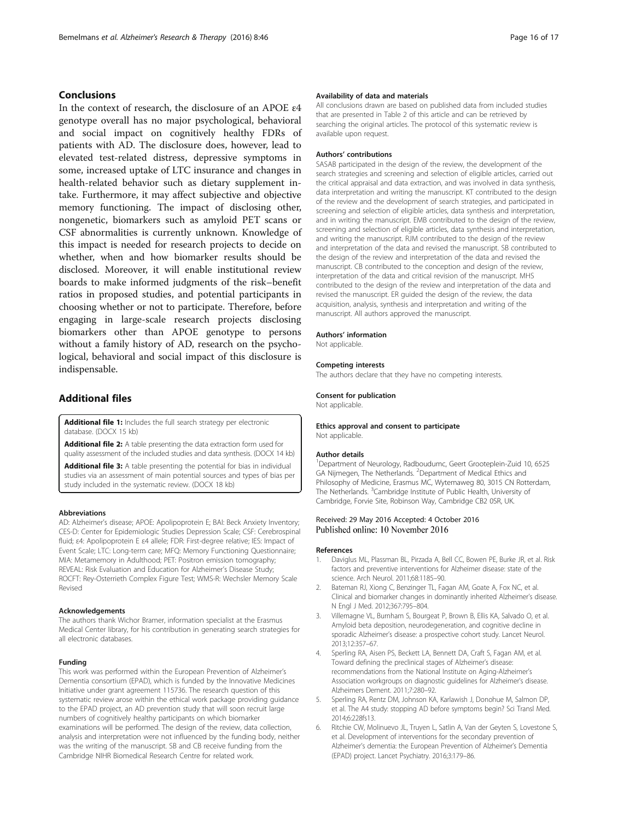# <span id="page-15-0"></span>Conclusions

In the context of research, the disclosure of an APOE ε4 genotype overall has no major psychological, behavioral and social impact on cognitively healthy FDRs of patients with AD. The disclosure does, however, lead to elevated test-related distress, depressive symptoms in some, increased uptake of LTC insurance and changes in health-related behavior such as dietary supplement intake. Furthermore, it may affect subjective and objective memory functioning. The impact of disclosing other, nongenetic, biomarkers such as amyloid PET scans or CSF abnormalities is currently unknown. Knowledge of this impact is needed for research projects to decide on whether, when and how biomarker results should be disclosed. Moreover, it will enable institutional review boards to make informed judgments of the risk–benefit ratios in proposed studies, and potential participants in choosing whether or not to participate. Therefore, before engaging in large-scale research projects disclosing biomarkers other than APOE genotype to persons without a family history of AD, research on the psychological, behavioral and social impact of this disclosure is indispensable.

# Additional files

[Additional file 1:](dx.doi.org/10.1186/s13195-016-0212-z) Includes the full search strategy per electronic database. (DOCX 15 kb)

[Additional file 2:](dx.doi.org/10.1186/s13195-016-0212-z) A table presenting the data extraction form used for quality assessment of the included studies and data synthesis. (DOCX 14 kb)

[Additional file 3:](dx.doi.org/10.1186/s13195-016-0212-z) A table presenting the potential for bias in individual studies via an assessment of main potential sources and types of bias per study included in the systematic review. (DOCX 18 kb)

#### Abbreviations

AD: Alzheimer's disease; APOE: Apolipoprotein E; BAI: Beck Anxiety Inventory; CES-D: Center for Epidemiologic Studies Depression Scale; CSF: Cerebrospinal fluid; ε4: Apolipoprotein E ε4 allele; FDR: First-degree relative; IES: Impact of Event Scale; LTC: Long-term care; MFQ: Memory Functioning Questionnaire; MIA: Metamemory in Adulthood; PET: Positron emission tomography; REVEAL: Risk Evaluation and Education for Alzheimer's Disease Study; ROCFT: Rey-Osterrieth Complex Figure Test; WMS-R: Wechsler Memory Scale Revised

#### Acknowledgements

The authors thank Wichor Bramer, information specialist at the Erasmus Medical Center library, for his contribution in generating search strategies for all electronic databases.

# Funding

This work was performed within the European Prevention of Alzheimer's Dementia consortium (EPAD), which is funded by the Innovative Medicines Initiative under grant agreement 115736. The research question of this systematic review arose within the ethical work package providing guidance to the EPAD project, an AD prevention study that will soon recruit large numbers of cognitively healthy participants on which biomarker examinations will be performed. The design of the review, data collection, analysis and interpretation were not influenced by the funding body, neither was the writing of the manuscript. SB and CB receive funding from the Cambridge NIHR Biomedical Research Centre for related work.

#### Availability of data and materials

All conclusions drawn are based on published data from included studies that are presented in Table [2](#page-5-0) of this article and can be retrieved by searching the original articles. The protocol of this systematic review is available upon request.

#### Authors' contributions

SASAB participated in the design of the review, the development of the search strategies and screening and selection of eligible articles, carried out the critical appraisal and data extraction, and was involved in data synthesis, data interpretation and writing the manuscript. KT contributed to the design of the review and the development of search strategies, and participated in screening and selection of eligible articles, data synthesis and interpretation, and in writing the manuscript. EMB contributed to the design of the review, screening and selection of eligible articles, data synthesis and interpretation, and writing the manuscript. RJM contributed to the design of the review and interpretation of the data and revised the manuscript. SB contributed to the design of the review and interpretation of the data and revised the manuscript. CB contributed to the conception and design of the review, interpretation of the data and critical revision of the manuscript. MHS contributed to the design of the review and interpretation of the data and revised the manuscript. ER guided the design of the review, the data acquisition, analysis, synthesis and interpretation and writing of the manuscript. All authors approved the manuscript.

#### Authors' information

Not applicable.

#### Competing interests

The authors declare that they have no competing interests.

#### Consent for publication

Not applicable.

#### Ethics approval and consent to participate Not applicable.

#### Author details

<sup>1</sup>Department of Neurology, Radboudumc, Geert Grooteplein-Zuid 10, 6525 GA Nijmegen, The Netherlands. <sup>2</sup>Department of Medical Ethics and Philosophy of Medicine, Erasmus MC, Wytemaweg 80, 3015 CN Rotterdam, The Netherlands. <sup>3</sup>Cambridge Institute of Public Health, University of Cambridge, Forvie Site, Robinson Way, Cambridge CB2 0SR, UK.

#### Received: 29 May 2016 Accepted: 4 October 2016 Published online: 10 November 2016

#### References

- 1. Daviglus ML, Plassman BL, Pirzada A, Bell CC, Bowen PE, Burke JR, et al. Risk factors and preventive interventions for Alzheimer disease: state of the science. Arch Neurol. 2011;68:1185–90.
- 2. Bateman RJ, Xiong C, Benzinger TL, Fagan AM, Goate A, Fox NC, et al. Clinical and biomarker changes in dominantly inherited Alzheimer's disease. N Engl J Med. 2012;367:795–804.
- 3. Villemagne VL, Burnham S, Bourgeat P, Brown B, Ellis KA, Salvado O, et al. Amyloid beta deposition, neurodegeneration, and cognitive decline in sporadic Alzheimer's disease: a prospective cohort study. Lancet Neurol. 2013;12:357–67.
- 4. Sperling RA, Aisen PS, Beckett LA, Bennett DA, Craft S, Fagan AM, et al. Toward defining the preclinical stages of Alzheimer's disease: recommendations from the National Institute on Aging-Alzheimer's Association workgroups on diagnostic guidelines for Alzheimer's disease. Alzheimers Dement. 2011;7:280–92.
- 5. Sperling RA, Rentz DM, Johnson KA, Karlawish J, Donohue M, Salmon DP, et al. The A4 study: stopping AD before symptoms begin? Sci Transl Med. 2014;6:228fs13.
- 6. Ritchie CW, Molinuevo JL, Truyen L, Satlin A, Van der Geyten S, Lovestone S, et al. Development of interventions for the secondary prevention of Alzheimer's dementia: the European Prevention of Alzheimer's Dementia (EPAD) project. Lancet Psychiatry. 2016;3:179–86.